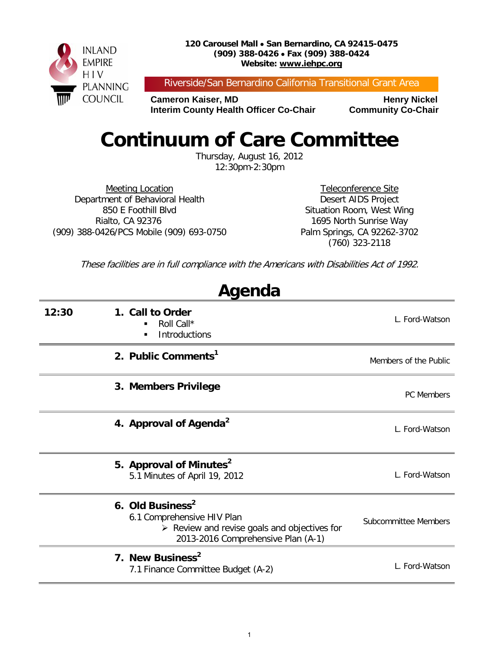

Riverside/San Bernardino California Transitional Grant Area

**Cameron Kaiser, MD Henry Nickel Interim County Health Officer Co-Chair Community Co-Chair** 

## **Continuum of Care Committee**

Thursday, August 16, 2012 12:30pm-2:30pm

Meeting Location Department of Behavioral Health 850 E Foothill Blvd Rialto, CA 92376 (909) 388-0426/PCS Mobile (909) 693-0750

Teleconference Site Desert AIDS Project Situation Room, West Wing 1695 North Sunrise Way Palm Springs, CA 92262-3702 (760) 323-2118

These facilities are in full compliance with the Americans with Disabilities Act of 1992.

**Agenda**

| , 1901 199 |                                                                                                                                                                 |                       |  |  |  |
|------------|-----------------------------------------------------------------------------------------------------------------------------------------------------------------|-----------------------|--|--|--|
| 12:30      | 1. Call to Order<br>Roll Call*<br>Introductions<br>٠                                                                                                            | L. Ford-Watson        |  |  |  |
|            | 2. Public Comments <sup>1</sup>                                                                                                                                 | Members of the Public |  |  |  |
|            | 3. Members Privilege                                                                                                                                            | <b>PC</b> Members     |  |  |  |
|            | 4. Approval of Agenda <sup>2</sup>                                                                                                                              | L. Ford-Watson        |  |  |  |
|            | 5. Approval of Minutes <sup>2</sup><br>5.1 Minutes of April 19, 2012                                                                                            | L. Ford-Watson        |  |  |  |
|            | 6. Old Business <sup>2</sup><br>6.1 Comprehensive HIV Plan<br>$\triangleright$ Review and revise goals and objectives for<br>2013-2016 Comprehensive Plan (A-1) | Subcommittee Members  |  |  |  |
|            | 7. New Business <sup>2</sup><br>7.1 Finance Committee Budget (A-2)                                                                                              | L. Ford-Watson        |  |  |  |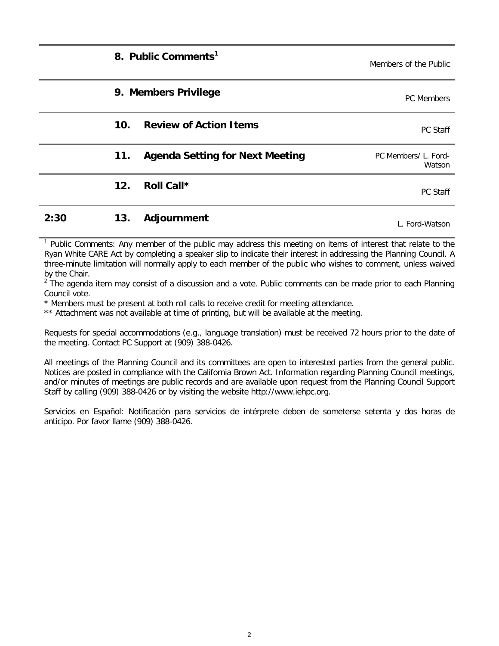|      | 8. Public Comments <sup>1</sup>                  | Members of the Public          |
|------|--------------------------------------------------|--------------------------------|
|      | 9. Members Privilege                             | PC Members                     |
|      | 10 <sub>1</sub><br><b>Review of Action Items</b> | PC Staff                       |
|      | <b>Agenda Setting for Next Meeting</b><br>11.    | PC Members/ L. Ford-<br>Watson |
|      | 12.<br>Roll Call*                                | <b>PC Staff</b>                |
| 2:30 | 13.<br>Adjournment                               | L. Ford-Watson                 |

<sup>1</sup> Public Comments: Any member of the public may address this meeting on items of interest that relate to the Ryan White CARE Act by completing a speaker slip to indicate their interest in addressing the Planning Council. A three-minute limitation will normally apply to each member of the public who wishes to comment, unless waived by the Chair.

 $2^{2}$  The agenda item may consist of a discussion and a vote. Public comments can be made prior to each Planning Council vote.

\* Members must be present at both roll calls to receive credit for meeting attendance.

\*\* Attachment was not available at time of printing, but will be available at the meeting.

Requests for special accommodations (e.g., language translation) must be received 72 hours prior to the date of the meeting. Contact PC Support at (909) 388-0426.

All meetings of the Planning Council and its committees are open to interested parties from the general public. Notices are posted in compliance with the California Brown Act. Information regarding Planning Council meetings, and/or minutes of meetings are public records and are available upon request from the Planning Council Support Staff by calling (909) 388-0426 or by visiting the website http://www.iehpc.org.

Servicios en Español: Notificación para servicios de intérprete deben de someterse setenta y dos horas de anticipo. Por favor llame (909) 388-0426.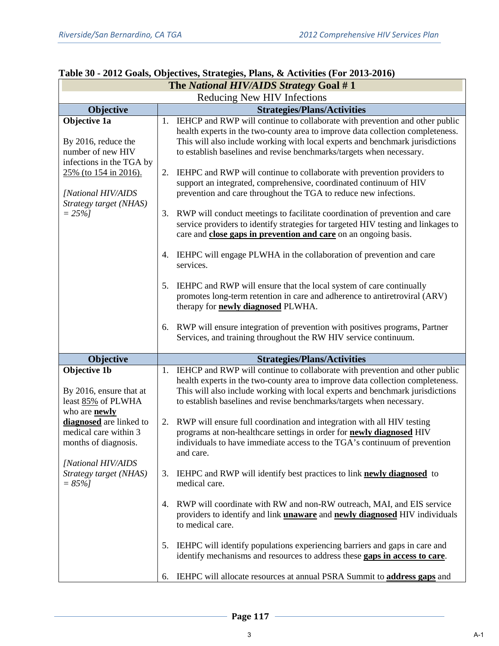| The National HIV/AIDS Strategy Goal #1                                                            |    |                                                                                                                                                                                                                                                                                                                           |  |  |
|---------------------------------------------------------------------------------------------------|----|---------------------------------------------------------------------------------------------------------------------------------------------------------------------------------------------------------------------------------------------------------------------------------------------------------------------------|--|--|
| Reducing New HIV Infections                                                                       |    |                                                                                                                                                                                                                                                                                                                           |  |  |
| Objective                                                                                         |    | <b>Strategies/Plans/Activities</b>                                                                                                                                                                                                                                                                                        |  |  |
| Objective 1a<br>By 2016, reduce the<br>number of new HIV                                          |    | 1. IEHCP and RWP will continue to collaborate with prevention and other public<br>health experts in the two-county area to improve data collection completeness.<br>This will also include working with local experts and benchmark jurisdictions<br>to establish baselines and revise benchmarks/targets when necessary. |  |  |
| infections in the TGA by<br>25% (to 154 in 2016).<br>[National HIV/AIDS<br>Strategy target (NHAS) | 2. | IEHPC and RWP will continue to collaborate with prevention providers to<br>support an integrated, comprehensive, coordinated continuum of HIV<br>prevention and care throughout the TGA to reduce new infections.                                                                                                         |  |  |
| $= 25\%$ ]                                                                                        |    | 3. RWP will conduct meetings to facilitate coordination of prevention and care<br>service providers to identify strategies for targeted HIV testing and linkages to<br>care and close gaps in prevention and care on an ongoing basis.                                                                                    |  |  |
|                                                                                                   |    | 4. IEHPC will engage PLWHA in the collaboration of prevention and care<br>services.                                                                                                                                                                                                                                       |  |  |
|                                                                                                   | 5. | IEHPC and RWP will ensure that the local system of care continually<br>promotes long-term retention in care and adherence to antiretroviral (ARV)<br>therapy for <b>newly diagnosed</b> PLWHA.                                                                                                                            |  |  |
|                                                                                                   | 6. | RWP will ensure integration of prevention with positives programs, Partner<br>Services, and training throughout the RW HIV service continuum.                                                                                                                                                                             |  |  |
| Objective                                                                                         |    | <b>Strategies/Plans/Activities</b>                                                                                                                                                                                                                                                                                        |  |  |
| <b>Objective 1b</b><br>By 2016, ensure that at<br>least 85% of PLWHA<br>who are <b>newly</b>      | 1. | IEHCP and RWP will continue to collaborate with prevention and other public<br>health experts in the two-county area to improve data collection completeness.<br>This will also include working with local experts and benchmark jurisdictions<br>to establish baselines and revise benchmarks/targets when necessary.    |  |  |
| diagnosed are linked to<br>medical care within 3<br>months of diagnosis.                          |    | 2. RWP will ensure full coordination and integration with all HIV testing<br>programs at non-healthcare settings in order for newly diagnosed HIV<br>individuals to have immediate access to the TGA's continuum of prevention<br>and care.                                                                               |  |  |
| [National HIV/AIDS<br>Strategy target (NHAS)<br>$= 85\%$                                          | 3. | IEHPC and RWP will identify best practices to link newly diagnosed to<br>medical care.                                                                                                                                                                                                                                    |  |  |
|                                                                                                   | 4. | RWP will coordinate with RW and non-RW outreach, MAI, and EIS service<br>providers to identify and link <i>unaware</i> and <i>newly diagnosed HIV</i> individuals<br>to medical care.                                                                                                                                     |  |  |
|                                                                                                   | 5. | IEHPC will identify populations experiencing barriers and gaps in care and<br>identify mechanisms and resources to address these gaps in access to care.                                                                                                                                                                  |  |  |
|                                                                                                   | 6. | IEHPC will allocate resources at annual PSRA Summit to <b>address gaps</b> and                                                                                                                                                                                                                                            |  |  |

## **Table 30 - 2012 Goals, Objectives, Strategies, Plans, & Activities (For 2013-2016)**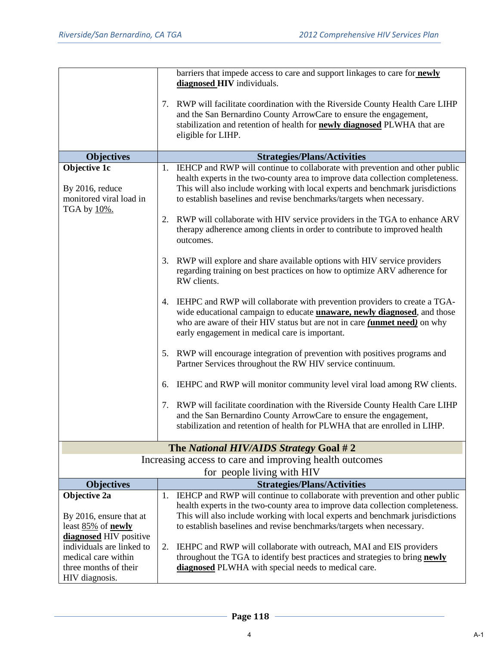|                                                                                                                       | barriers that impede access to care and support linkages to care for newly<br>diagnosed HIV individuals.                                                                                                                                                                                                                  |
|-----------------------------------------------------------------------------------------------------------------------|---------------------------------------------------------------------------------------------------------------------------------------------------------------------------------------------------------------------------------------------------------------------------------------------------------------------------|
|                                                                                                                       | 7. RWP will facilitate coordination with the Riverside County Health Care LIHP<br>and the San Bernardino County ArrowCare to ensure the engagement,<br>stabilization and retention of health for <b>newly diagnosed</b> PLWHA that are<br>eligible for LIHP.                                                              |
| <b>Objectives</b>                                                                                                     | <b>Strategies/Plans/Activities</b>                                                                                                                                                                                                                                                                                        |
| Objective 1c<br>By 2016, reduce<br>monitored viral load in<br>TGA by 10%.                                             | 1. IEHCP and RWP will continue to collaborate with prevention and other public<br>health experts in the two-county area to improve data collection completeness.<br>This will also include working with local experts and benchmark jurisdictions<br>to establish baselines and revise benchmarks/targets when necessary. |
|                                                                                                                       | 2. RWP will collaborate with HIV service providers in the TGA to enhance ARV<br>therapy adherence among clients in order to contribute to improved health<br>outcomes.                                                                                                                                                    |
|                                                                                                                       | RWP will explore and share available options with HIV service providers<br>3.<br>regarding training on best practices on how to optimize ARV adherence for<br>RW clients.                                                                                                                                                 |
|                                                                                                                       | 4. IEHPC and RWP will collaborate with prevention providers to create a TGA-<br>wide educational campaign to educate <b>unaware</b> , newly diagnosed, and those<br>who are aware of their HIV status but are not in care (unmet need) on why<br>early engagement in medical care is important.                           |
|                                                                                                                       | 5. RWP will encourage integration of prevention with positives programs and<br>Partner Services throughout the RW HIV service continuum.                                                                                                                                                                                  |
|                                                                                                                       | IEHPC and RWP will monitor community level viral load among RW clients.<br>6.                                                                                                                                                                                                                                             |
|                                                                                                                       | RWP will facilitate coordination with the Riverside County Health Care LIHP<br>7.<br>and the San Bernardino County ArrowCare to ensure the engagement,<br>stabilization and retention of health for PLWHA that are enrolled in LIHP.                                                                                      |
|                                                                                                                       | The National HIV/AIDS Strategy Goal #2                                                                                                                                                                                                                                                                                    |
|                                                                                                                       | Increasing access to care and improving health outcomes                                                                                                                                                                                                                                                                   |
|                                                                                                                       | for people living with HIV                                                                                                                                                                                                                                                                                                |
| <b>Objectives</b>                                                                                                     | <b>Strategies/Plans/Activities</b>                                                                                                                                                                                                                                                                                        |
| Objective 2a<br>By 2016, ensure that at<br>least 85% of <b>newly</b>                                                  | 1. IEHCP and RWP will continue to collaborate with prevention and other public<br>health experts in the two-county area to improve data collection completeness.<br>This will also include working with local experts and benchmark jurisdictions<br>to establish baselines and revise benchmarks/targets when necessary. |
| diagnosed HIV positive<br>individuals are linked to<br>medical care within<br>three months of their<br>HIV diagnosis. | 2.<br>IEHPC and RWP will collaborate with outreach, MAI and EIS providers<br>throughout the TGA to identify best practices and strategies to bring newly<br>diagnosed PLWHA with special needs to medical care.                                                                                                           |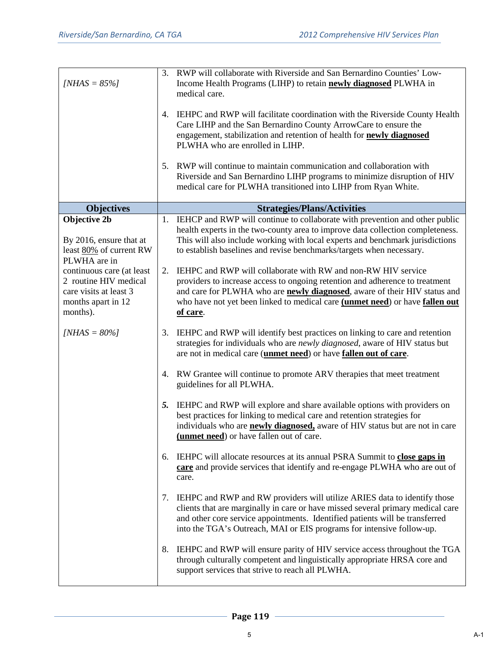| $[NHAS = 85\%]$                                                                                                |    | 3. RWP will collaborate with Riverside and San Bernardino Counties' Low-<br>Income Health Programs (LIHP) to retain <b>newly diagnosed</b> PLWHA in<br>medical care.                                                                                                                                                           |
|----------------------------------------------------------------------------------------------------------------|----|--------------------------------------------------------------------------------------------------------------------------------------------------------------------------------------------------------------------------------------------------------------------------------------------------------------------------------|
|                                                                                                                | 4. | IEHPC and RWP will facilitate coordination with the Riverside County Health<br>Care LIHP and the San Bernardino County ArrowCare to ensure the<br>engagement, stabilization and retention of health for newly diagnosed<br>PLWHA who are enrolled in LIHP.                                                                     |
|                                                                                                                | 5. | RWP will continue to maintain communication and collaboration with<br>Riverside and San Bernardino LIHP programs to minimize disruption of HIV<br>medical care for PLWHA transitioned into LIHP from Ryan White.                                                                                                               |
| <b>Objectives</b>                                                                                              |    | <b>Strategies/Plans/Activities</b>                                                                                                                                                                                                                                                                                             |
| <b>Objective 2b</b>                                                                                            | 1. | IEHCP and RWP will continue to collaborate with prevention and other public                                                                                                                                                                                                                                                    |
| By 2016, ensure that at<br>least 80% of current RW<br>PLWHA are in                                             |    | health experts in the two-county area to improve data collection completeness.<br>This will also include working with local experts and benchmark jurisdictions<br>to establish baselines and revise benchmarks/targets when necessary.                                                                                        |
| continuous care (at least<br>2 routine HIV medical<br>care visits at least 3<br>months apart in 12<br>months). | 2. | IEHPC and RWP will collaborate with RW and non-RW HIV service<br>providers to increase access to ongoing retention and adherence to treatment<br>and care for PLWHA who are <b>newly diagnosed</b> , aware of their HIV status and<br>who have not yet been linked to medical care (unmet need) or have fallen out<br>of care. |
| $[NHAS = 80\%]$                                                                                                | 3. | IEHPC and RWP will identify best practices on linking to care and retention<br>strategies for individuals who are newly diagnosed, aware of HIV status but<br>are not in medical care (unmet need) or have fallen out of care.                                                                                                 |
|                                                                                                                | 4. | RW Grantee will continue to promote ARV therapies that meet treatment<br>guidelines for all PLWHA.                                                                                                                                                                                                                             |
|                                                                                                                | 5. | IEHPC and RWP will explore and share available options with providers on<br>best practices for linking to medical care and retention strategies for<br>individuals who are <b>newly diagnosed</b> , aware of HIV status but are not in care<br>(unmet need) or have fallen out of care.                                        |
|                                                                                                                | 6. | IEHPC will allocate resources at its annual PSRA Summit to close gaps in<br>care and provide services that identify and re-engage PLWHA who are out of<br>care.                                                                                                                                                                |
|                                                                                                                | 7. | IEHPC and RWP and RW providers will utilize ARIES data to identify those<br>clients that are marginally in care or have missed several primary medical care<br>and other core service appointments. Identified patients will be transferred<br>into the TGA's Outreach, MAI or EIS programs for intensive follow-up.           |
|                                                                                                                |    | 8. IEHPC and RWP will ensure parity of HIV service access throughout the TGA<br>through culturally competent and linguistically appropriate HRSA core and<br>support services that strive to reach all PLWHA.                                                                                                                  |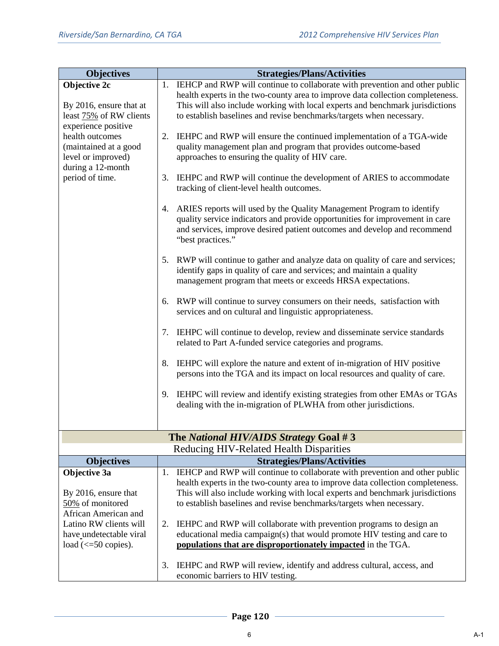| <b>Objectives</b>                            |    | <b>Strategies/Plans/Activities</b>                                                                                 |
|----------------------------------------------|----|--------------------------------------------------------------------------------------------------------------------|
| Objective 2c                                 |    | 1. IEHCP and RWP will continue to collaborate with prevention and other public                                     |
|                                              |    | health experts in the two-county area to improve data collection completeness.                                     |
| By 2016, ensure that at                      |    | This will also include working with local experts and benchmark jurisdictions                                      |
| least 75% of RW clients                      |    | to establish baselines and revise benchmarks/targets when necessary.                                               |
| experience positive                          |    |                                                                                                                    |
| health outcomes                              | 2. | IEHPC and RWP will ensure the continued implementation of a TGA-wide                                               |
| (maintained at a good<br>level or improved)  |    | quality management plan and program that provides outcome-based<br>approaches to ensuring the quality of HIV care. |
| during a 12-month                            |    |                                                                                                                    |
| period of time.                              | 3. | IEHPC and RWP will continue the development of ARIES to accommodate                                                |
|                                              |    | tracking of client-level health outcomes.                                                                          |
|                                              |    |                                                                                                                    |
|                                              | 4. | ARIES reports will used by the Quality Management Program to identify                                              |
|                                              |    | quality service indicators and provide opportunities for improvement in care                                       |
|                                              |    | and services, improve desired patient outcomes and develop and recommend                                           |
|                                              |    | "best practices."                                                                                                  |
|                                              | 5. | RWP will continue to gather and analyze data on quality of care and services;                                      |
|                                              |    | identify gaps in quality of care and services; and maintain a quality                                              |
|                                              |    | management program that meets or exceeds HRSA expectations.                                                        |
|                                              |    |                                                                                                                    |
|                                              |    | 6. RWP will continue to survey consumers on their needs, satisfaction with                                         |
|                                              |    | services and on cultural and linguistic appropriateness.                                                           |
|                                              | 7. | IEHPC will continue to develop, review and disseminate service standards                                           |
|                                              |    | related to Part A-funded service categories and programs.                                                          |
|                                              |    |                                                                                                                    |
|                                              | 8. | IEHPC will explore the nature and extent of in-migration of HIV positive                                           |
|                                              |    | persons into the TGA and its impact on local resources and quality of care.                                        |
|                                              |    |                                                                                                                    |
|                                              | 9. | IEHPC will review and identify existing strategies from other EMAs or TGAs                                         |
|                                              |    | dealing with the in-migration of PLWHA from other jurisdictions.                                                   |
|                                              |    |                                                                                                                    |
|                                              |    | The National HIV/AIDS Strategy Goal #3                                                                             |
|                                              |    | Reducing HIV-Related Health Disparities                                                                            |
| <b>Objectives</b>                            |    | <b>Strategies/Plans/Activities</b>                                                                                 |
| Objective 3a                                 | 1. | IEHCP and RWP will continue to collaborate with prevention and other public                                        |
|                                              |    | health experts in the two-county area to improve data collection completeness.                                     |
| By 2016, ensure that                         |    | This will also include working with local experts and benchmark jurisdictions                                      |
| 50% of monitored<br>African American and     |    | to establish baselines and revise benchmarks/targets when necessary.                                               |
| Latino RW clients will                       | 2. | IEHPC and RWP will collaborate with prevention programs to design an                                               |
| have undetectable viral                      |    | educational media campaign(s) that would promote HIV testing and care to                                           |
| load $\left(\leq 50 \text{ copies}\right)$ . |    | populations that are disproportionately impacted in the TGA.                                                       |
|                                              |    |                                                                                                                    |
|                                              | 3. | IEHPC and RWP will review, identify and address cultural, access, and                                              |
|                                              |    | economic barriers to HIV testing.                                                                                  |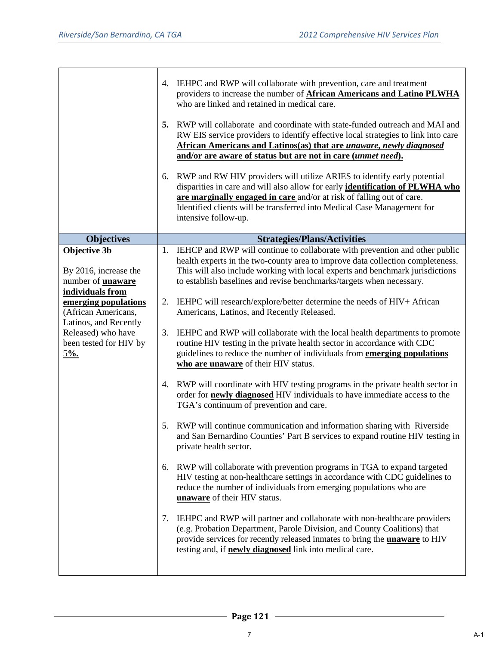|                                                                                       | 5. | 4. IEHPC and RWP will collaborate with prevention, care and treatment<br>providers to increase the number of <b>African Americans and Latino PLWHA</b><br>who are linked and retained in medical care.<br>RWP will collaborate and coordinate with state-funded outreach and MAI and                                                 |  |  |  |  |  |
|---------------------------------------------------------------------------------------|----|--------------------------------------------------------------------------------------------------------------------------------------------------------------------------------------------------------------------------------------------------------------------------------------------------------------------------------------|--|--|--|--|--|
|                                                                                       |    | RW EIS service providers to identify effective local strategies to link into care<br>African Americans and Latinos(as) that are unaware, newly diagnosed<br>and/or are aware of status but are not in care (unmet need).                                                                                                             |  |  |  |  |  |
|                                                                                       | 6. | RWP and RW HIV providers will utilize ARIES to identify early potential<br>disparities in care and will also allow for early identification of PLWHA who<br>are marginally engaged in care and/or at risk of falling out of care.<br>Identified clients will be transferred into Medical Case Management for<br>intensive follow-up. |  |  |  |  |  |
| <b>Objectives</b>                                                                     |    | <b>Strategies/Plans/Activities</b>                                                                                                                                                                                                                                                                                                   |  |  |  |  |  |
| <b>Objective 3b</b><br>By 2016, increase the<br>number of unaware<br>individuals from | 1. | IEHCP and RWP will continue to collaborate with prevention and other public<br>health experts in the two-county area to improve data collection completeness.<br>This will also include working with local experts and benchmark jurisdictions<br>to establish baselines and revise benchmarks/targets when necessary.               |  |  |  |  |  |
| emerging populations<br>(African Americans,<br>Latinos, and Recently                  |    | 2. IEHPC will research/explore/better determine the needs of HIV+ African<br>Americans, Latinos, and Recently Released.                                                                                                                                                                                                              |  |  |  |  |  |
| Released) who have<br>been tested for HIV by<br>$5%$ .                                | 3. | IEHPC and RWP will collaborate with the local health departments to promote<br>routine HIV testing in the private health sector in accordance with CDC<br>guidelines to reduce the number of individuals from emerging populations<br>who are unaware of their HIV status.                                                           |  |  |  |  |  |
|                                                                                       |    | 4. RWP will coordinate with HIV testing programs in the private health sector in<br>order for <b>newly diagnosed</b> HIV individuals to have immediate access to the<br>TGA's continuum of prevention and care.                                                                                                                      |  |  |  |  |  |
|                                                                                       |    | 5. RWP will continue communication and information sharing with Riverside<br>and San Bernardino Counties' Part B services to expand routine HIV testing in<br>private health sector.                                                                                                                                                 |  |  |  |  |  |
|                                                                                       | 6. | RWP will collaborate with prevention programs in TGA to expand targeted<br>HIV testing at non-healthcare settings in accordance with CDC guidelines to<br>reduce the number of individuals from emerging populations who are<br>unaware of their HIV status.                                                                         |  |  |  |  |  |
|                                                                                       |    | 7. IEHPC and RWP will partner and collaborate with non-healthcare providers<br>(e.g. Probation Department, Parole Division, and County Coalitions) that<br>provide services for recently released inmates to bring the unaware to HIV<br>testing and, if <b>newly diagnosed</b> link into medical care.                              |  |  |  |  |  |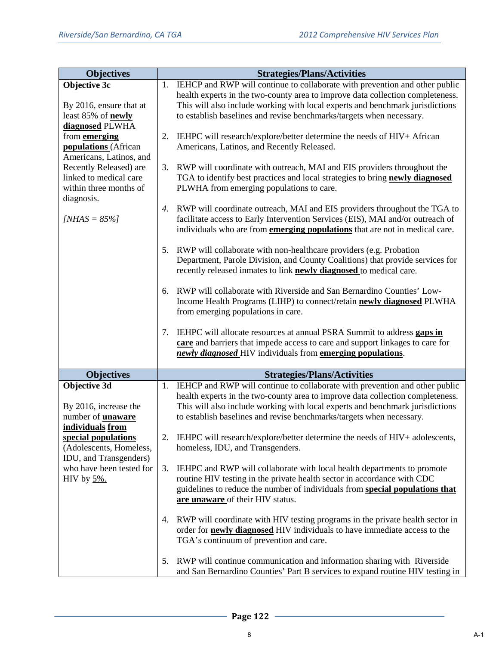| <b>Objectives</b>                                | <b>Strategies/Plans/Activities</b> |                                                                                                                                                         |  |  |  |  |
|--------------------------------------------------|------------------------------------|---------------------------------------------------------------------------------------------------------------------------------------------------------|--|--|--|--|
| Objective 3c                                     |                                    | 1. IEHCP and RWP will continue to collaborate with prevention and other public                                                                          |  |  |  |  |
|                                                  |                                    | health experts in the two-county area to improve data collection completeness.                                                                          |  |  |  |  |
| By 2016, ensure that at                          |                                    | This will also include working with local experts and benchmark jurisdictions                                                                           |  |  |  |  |
| least 85% of newly                               |                                    | to establish baselines and revise benchmarks/targets when necessary.                                                                                    |  |  |  |  |
| diagnosed PLWHA                                  |                                    |                                                                                                                                                         |  |  |  |  |
| from <b>emerging</b>                             |                                    | 2. IEHPC will research/explore/better determine the needs of HIV+ African                                                                               |  |  |  |  |
| <b>populations</b> (African                      |                                    | Americans, Latinos, and Recently Released.                                                                                                              |  |  |  |  |
| Americans, Latinos, and                          |                                    |                                                                                                                                                         |  |  |  |  |
| Recently Released) are<br>linked to medical care | 3.                                 | RWP will coordinate with outreach, MAI and EIS providers throughout the<br>TGA to identify best practices and local strategies to bring newly diagnosed |  |  |  |  |
| within three months of                           |                                    | PLWHA from emerging populations to care.                                                                                                                |  |  |  |  |
| diagnosis.                                       |                                    |                                                                                                                                                         |  |  |  |  |
|                                                  | 4.                                 | RWP will coordinate outreach, MAI and EIS providers throughout the TGA to                                                                               |  |  |  |  |
| [ $NHAS = 85\%$ ]                                |                                    | facilitate access to Early Intervention Services (EIS), MAI and/or outreach of                                                                          |  |  |  |  |
|                                                  |                                    | individuals who are from <b>emerging populations</b> that are not in medical care.                                                                      |  |  |  |  |
|                                                  |                                    |                                                                                                                                                         |  |  |  |  |
|                                                  | 5.                                 | RWP will collaborate with non-healthcare providers (e.g. Probation                                                                                      |  |  |  |  |
|                                                  |                                    | Department, Parole Division, and County Coalitions) that provide services for                                                                           |  |  |  |  |
|                                                  |                                    | recently released inmates to link <b>newly diagnosed</b> to medical care.                                                                               |  |  |  |  |
|                                                  |                                    |                                                                                                                                                         |  |  |  |  |
|                                                  |                                    | 6. RWP will collaborate with Riverside and San Bernardino Counties' Low-                                                                                |  |  |  |  |
|                                                  |                                    | Income Health Programs (LIHP) to connect/retain newly diagnosed PLWHA                                                                                   |  |  |  |  |
|                                                  |                                    | from emerging populations in care.                                                                                                                      |  |  |  |  |
|                                                  |                                    |                                                                                                                                                         |  |  |  |  |
|                                                  | 7.                                 | IEHPC will allocate resources at annual PSRA Summit to address gaps in<br>care and barriers that impede access to care and support linkages to care for |  |  |  |  |
|                                                  |                                    | newly diagnosed HIV individuals from emerging populations.                                                                                              |  |  |  |  |
|                                                  |                                    |                                                                                                                                                         |  |  |  |  |
| <b>Objectives</b>                                |                                    | <b>Strategies/Plans/Activities</b>                                                                                                                      |  |  |  |  |
| Objective 3d                                     |                                    | 1. IEHCP and RWP will continue to collaborate with prevention and other public                                                                          |  |  |  |  |
|                                                  |                                    | health experts in the two-county area to improve data collection completeness.                                                                          |  |  |  |  |
| By 2016, increase the                            |                                    | This will also include working with local experts and benchmark jurisdictions                                                                           |  |  |  |  |
| number of <b>unaware</b>                         |                                    | to establish baselines and revise benchmarks/targets when necessary.                                                                                    |  |  |  |  |
| individuals from                                 |                                    |                                                                                                                                                         |  |  |  |  |
| special populations                              | 2.                                 | IEHPC will research/explore/better determine the needs of HIV+ adolescents,                                                                             |  |  |  |  |
| (Adolescents, Homeless,                          |                                    | homeless, IDU, and Transgenders.                                                                                                                        |  |  |  |  |
| IDU, and Transgenders)                           |                                    |                                                                                                                                                         |  |  |  |  |
| who have been tested for                         | 3.                                 | IEHPC and RWP will collaborate with local health departments to promote                                                                                 |  |  |  |  |
| HIV by $5\%$ .                                   |                                    | routine HIV testing in the private health sector in accordance with CDC                                                                                 |  |  |  |  |
|                                                  |                                    | guidelines to reduce the number of individuals from special populations that                                                                            |  |  |  |  |
|                                                  |                                    | are unaware of their HIV status.                                                                                                                        |  |  |  |  |
|                                                  | 4.                                 | RWP will coordinate with HIV testing programs in the private health sector in                                                                           |  |  |  |  |
|                                                  |                                    | order for <b>newly diagnosed</b> HIV individuals to have immediate access to the                                                                        |  |  |  |  |
|                                                  |                                    | TGA's continuum of prevention and care.                                                                                                                 |  |  |  |  |
|                                                  |                                    |                                                                                                                                                         |  |  |  |  |
|                                                  | 5.                                 | RWP will continue communication and information sharing with Riverside                                                                                  |  |  |  |  |
|                                                  |                                    | and San Bernardino Counties' Part B services to expand routine HIV testing in                                                                           |  |  |  |  |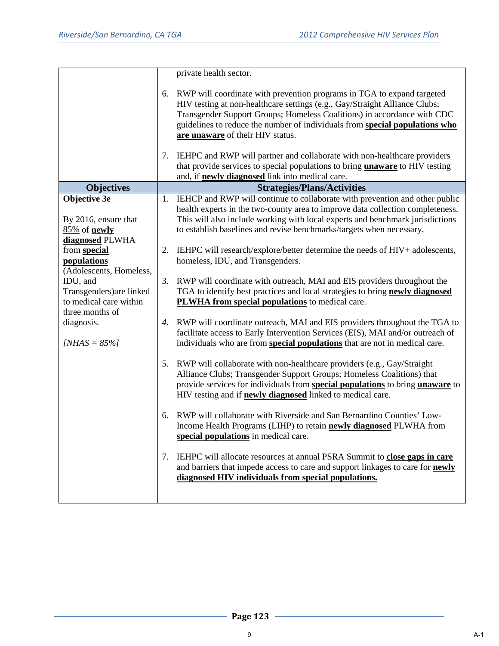|                                                                                   |    | private health sector.                                                                                                                                                                                                                                                                                                                                |
|-----------------------------------------------------------------------------------|----|-------------------------------------------------------------------------------------------------------------------------------------------------------------------------------------------------------------------------------------------------------------------------------------------------------------------------------------------------------|
|                                                                                   |    | 6. RWP will coordinate with prevention programs in TGA to expand targeted<br>HIV testing at non-healthcare settings (e.g., Gay/Straight Alliance Clubs;<br>Transgender Support Groups; Homeless Coalitions) in accordance with CDC<br>guidelines to reduce the number of individuals from special populations who<br>are unaware of their HIV status. |
|                                                                                   | 7. | IEHPC and RWP will partner and collaborate with non-healthcare providers<br>that provide services to special populations to bring <i>unaware</i> to HIV testing                                                                                                                                                                                       |
|                                                                                   |    | and, if <b>newly diagnosed</b> link into medical care.                                                                                                                                                                                                                                                                                                |
| <b>Objectives</b>                                                                 |    | <b>Strategies/Plans/Activities</b>                                                                                                                                                                                                                                                                                                                    |
| Objective 3e<br>By 2016, ensure that<br>85% of <b>newly</b>                       |    | 1. IEHCP and RWP will continue to collaborate with prevention and other public<br>health experts in the two-county area to improve data collection completeness.<br>This will also include working with local experts and benchmark jurisdictions<br>to establish baselines and revise benchmarks/targets when necessary.                             |
| diagnosed PLWHA<br>from special<br>populations<br>(Adolescents, Homeless,         |    | 2. IEHPC will research/explore/better determine the needs of HIV+ adolescents,<br>homeless, IDU, and Transgenders.                                                                                                                                                                                                                                    |
| IDU, and<br>Transgenders) are linked<br>to medical care within<br>three months of | 3. | RWP will coordinate with outreach, MAI and EIS providers throughout the<br>TGA to identify best practices and local strategies to bring newly diagnosed<br>PLWHA from special populations to medical care.                                                                                                                                            |
| diagnosis.<br>[ <i>NHAS</i> = $85\%$ ]                                            |    | 4. RWP will coordinate outreach, MAI and EIS providers throughout the TGA to<br>facilitate access to Early Intervention Services (EIS), MAI and/or outreach of<br>individuals who are from special populations that are not in medical care.                                                                                                          |
|                                                                                   | 5. | RWP will collaborate with non-healthcare providers (e.g., Gay/Straight<br>Alliance Clubs; Transgender Support Groups; Homeless Coalitions) that<br>provide services for individuals from special populations to bring unaware to<br>HIV testing and if <b>newly diagnosed</b> linked to medical care.                                                 |
|                                                                                   | 6. | RWP will collaborate with Riverside and San Bernardino Counties' Low-<br>Income Health Programs (LIHP) to retain <b>newly diagnosed</b> PLWHA from<br>special populations in medical care.                                                                                                                                                            |
|                                                                                   | 7. | IEHPC will allocate resources at annual PSRA Summit to close gaps in care<br>and barriers that impede access to care and support linkages to care for newly<br>diagnosed HIV individuals from special populations.                                                                                                                                    |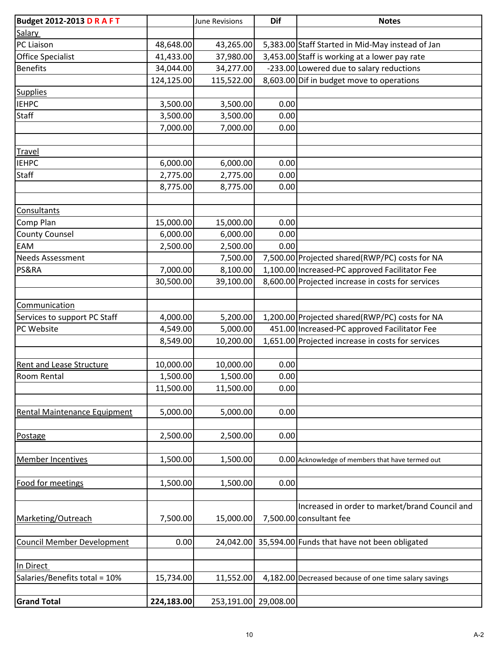| <b>Budget 2012-2013 D R A F T</b>   |            | June Revisions       | <b>Dif</b> | <b>Notes</b>                                          |
|-------------------------------------|------------|----------------------|------------|-------------------------------------------------------|
| Salary                              |            |                      |            |                                                       |
| PC Liaison                          | 48,648.00  | 43,265.00            |            | 5,383.00 Staff Started in Mid-May instead of Jan      |
| Office Specialist                   | 41,433.00  | 37,980.00            |            | 3,453.00 Staff is working at a lower pay rate         |
| <b>Benefits</b>                     | 34,044.00  | 34,277.00            |            | -233.00 Lowered due to salary reductions              |
|                                     | 124,125.00 | 115,522.00           |            | 8,603.00 Dif in budget move to operations             |
| <b>Supplies</b>                     |            |                      |            |                                                       |
| <b>IEHPC</b>                        | 3,500.00   | 3,500.00             | 0.00       |                                                       |
| <b>Staff</b>                        | 3,500.00   | 3,500.00             | 0.00       |                                                       |
|                                     | 7,000.00   | 7,000.00             | 0.00       |                                                       |
|                                     |            |                      |            |                                                       |
| Travel                              |            |                      |            |                                                       |
| <b>IEHPC</b>                        | 6,000.00   | 6,000.00             | 0.00       |                                                       |
| <b>Staff</b>                        | 2,775.00   | 2,775.00             | 0.00       |                                                       |
|                                     | 8,775.00   | 8,775.00             | 0.00       |                                                       |
|                                     |            |                      |            |                                                       |
| Consultants                         |            |                      |            |                                                       |
| Comp Plan                           | 15,000.00  | 15,000.00            | 0.00       |                                                       |
| <b>County Counsel</b>               | 6,000.00   | 6,000.00             | 0.00       |                                                       |
| <b>EAM</b>                          | 2,500.00   | 2,500.00             | 0.00       |                                                       |
| <b>Needs Assessment</b>             |            | 7,500.00             |            | 7,500.00 Projected shared(RWP/PC) costs for NA        |
| PS&RA                               | 7,000.00   | 8,100.00             |            | 1,100.00 Increased-PC approved Facilitator Fee        |
|                                     | 30,500.00  | 39,100.00            |            | 8,600.00 Projected increase in costs for services     |
|                                     |            |                      |            |                                                       |
| Communication                       |            |                      |            |                                                       |
| Services to support PC Staff        | 4,000.00   | 5,200.00             |            | 1,200.00 Projected shared (RWP/PC) costs for NA       |
| PC Website                          | 4,549.00   | 5,000.00             |            | 451.00 Increased-PC approved Facilitator Fee          |
|                                     | 8,549.00   | 10,200.00            |            | 1,651.00 Projected increase in costs for services     |
|                                     |            |                      |            |                                                       |
| <b>Rent and Lease Structure</b>     | 10,000.00  | 10,000.00            | 0.00       |                                                       |
| Room Rental                         | 1,500.00   | 1,500.00             | 0.00       |                                                       |
|                                     | 11,500.00  | 11,500.00            | 0.00       |                                                       |
|                                     |            |                      |            |                                                       |
| <b>Rental Maintenance Equipment</b> | 5,000.00   | 5,000.00             | 0.00       |                                                       |
|                                     |            |                      |            |                                                       |
| Postage                             | 2,500.00   | 2,500.00             | 0.00       |                                                       |
|                                     |            |                      |            |                                                       |
| <b>Member Incentives</b>            | 1,500.00   | 1,500.00             |            | 0.00 Acknowledge of members that have termed out      |
|                                     |            |                      |            |                                                       |
| Food for meetings                   | 1,500.00   | 1,500.00             | 0.00       |                                                       |
|                                     |            |                      |            |                                                       |
|                                     |            |                      |            | Increased in order to market/brand Council and        |
| Marketing/Outreach                  | 7,500.00   | 15,000.00            |            | 7,500.00 consultant fee                               |
|                                     |            |                      |            |                                                       |
| <b>Council Member Development</b>   | 0.00       | 24,042.00            |            | 35,594.00 Funds that have not been obligated          |
|                                     |            |                      |            |                                                       |
| In Direct                           |            |                      |            |                                                       |
| Salaries/Benefits total = 10%       | 15,734.00  | 11,552.00            |            | 4,182.00 Decreased because of one time salary savings |
|                                     |            |                      |            |                                                       |
| <b>Grand Total</b>                  | 224,183.00 | 253,191.00 29,008.00 |            |                                                       |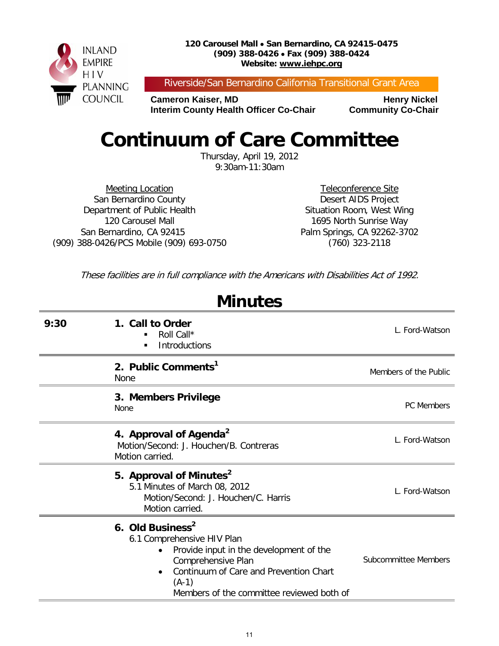

Riverside/San Bernardino California Transitional Grant Area

**Cameron Kaiser, MD Henry Nickel Interim County Health Officer Co-Chair Community Co-Chair** 

## **Continuum of Care Committee**

Thursday, April 19, 2012 9:30am-11:30am

Meeting Location San Bernardino County Department of Public Health 120 Carousel Mall San Bernardino, CA 92415 (909) 388-0426/PCS Mobile (909) 693-0750

Teleconference Site Desert AIDS Project Situation Room, West Wing 1695 North Sunrise Way Palm Springs, CA 92262-3702 (760) 323-2118

These facilities are in full compliance with the Americans with Disabilities Act of 1992.

| <b>Minutes</b> |                                                                                                                                                                                                                               |                       |  |  |
|----------------|-------------------------------------------------------------------------------------------------------------------------------------------------------------------------------------------------------------------------------|-----------------------|--|--|
| 9:30           | 1. Call to Order<br>Roll Call*<br><b>Introductions</b><br>п                                                                                                                                                                   | L. Ford-Watson        |  |  |
|                | 2. Public Comments <sup>1</sup><br>None                                                                                                                                                                                       | Members of the Public |  |  |
|                | 3. Members Privilege<br><b>None</b>                                                                                                                                                                                           | <b>PC Members</b>     |  |  |
|                | 4. Approval of Agenda <sup>2</sup><br>Motion/Second: J. Houchen/B. Contreras<br>Motion carried.                                                                                                                               | L. Ford-Watson        |  |  |
|                | 5. Approval of Minutes <sup>2</sup><br>5.1 Minutes of March 08, 2012<br>Motion/Second: J. Houchen/C. Harris<br>Motion carried.                                                                                                | L. Ford-Watson        |  |  |
|                | 6. Old Business <sup>2</sup><br>6.1 Comprehensive HIV Plan<br>Provide input in the development of the<br>Comprehensive Plan<br>Continuum of Care and Prevention Chart<br>$(A-1)$<br>Members of the committee reviewed both of | Subcommittee Members  |  |  |